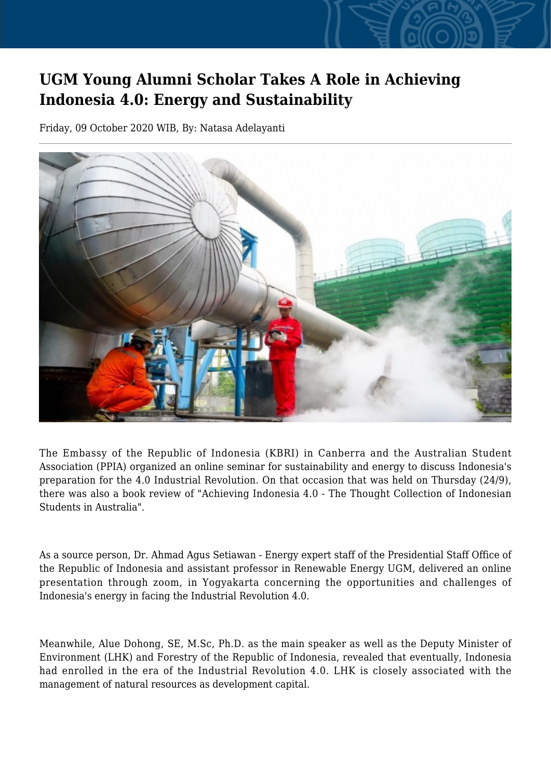## **UGM Young Alumni Scholar Takes A Role in Achieving Indonesia 4.0: Energy and Sustainability**

Friday, 09 October 2020 WIB, By: Natasa Adelayanti



The Embassy of the Republic of Indonesia (KBRI) in Canberra and the Australian Student Association (PPIA) organized an online seminar for sustainability and energy to discuss Indonesia's preparation for the 4.0 Industrial Revolution. On that occasion that was held on Thursday (24/9), there was also a book review of "Achieving Indonesia 4.0 - The Thought Collection of Indonesian Students in Australia".

As a source person, Dr. Ahmad Agus Setiawan - Energy expert staff of the Presidential Staff Office of the Republic of Indonesia and assistant professor in Renewable Energy UGM, delivered an online presentation through zoom, in Yogyakarta concerning the opportunities and challenges of Indonesia's energy in facing the Industrial Revolution 4.0.

Meanwhile, Alue Dohong, SE, M.Sc, Ph.D. as the main speaker as well as the Deputy Minister of Environment (LHK) and Forestry of the Republic of Indonesia, revealed that eventually, Indonesia had enrolled in the era of the Industrial Revolution 4.0. LHK is closely associated with the management of natural resources as development capital.